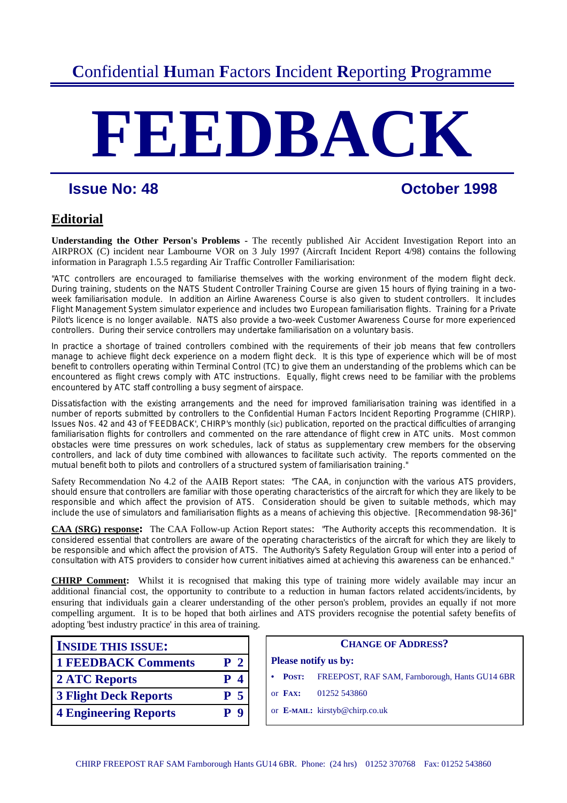# **C**onfidential **H**uman **F**actors **I**ncident **R**eporting **P**rogramme

# **FEEDBACK**

# **Issue No: 48 Constant Constant Constant Constant Constant Constant Constant Constant Constant Constant Constant Constant Constant Constant Constant Constant Constant Constant Constant Constant Constant Constant Constant**

# **Editorial**

**Understanding the Other Person's Problems -** The recently published Air Accident Investigation Report into an AIRPROX (C) incident near Lambourne VOR on 3 July 1997 (Aircraft Incident Report 4/98) contains the following information in Paragraph 1.5.5 regarding Air Traffic Controller Familiarisation:

"ATC controllers are encouraged to familiarise themselves with the working environment of the modern flight deck. During training, students on the NATS Student Controller Training Course are given 15 hours of flying training in a twoweek familiarisation module. In addition an Airline Awareness Course is also given to student controllers. It includes Flight Management System simulator experience and includes two European familiarisation flights. Training for a Private Pilot's licence is no longer available. NATS also provide a two-week Customer Awareness Course for more experienced controllers. During their service controllers may undertake familiarisation on a voluntary basis.

In practice a shortage of trained controllers combined with the requirements of their job means that few controllers manage to achieve flight deck experience on a modern flight deck. It is this type of experience which will be of most benefit to controllers operating within Terminal Control (TC) to give them an understanding of the problems which can be encountered as flight crews comply with ATC instructions. Equally, flight crews need to be familiar with the problems encountered by ATC staff controlling a busy segment of airspace.

Dissatisfaction with the existing arrangements and the need for improved familiarisation training was identified in a number of reports submitted by controllers to the Confidential Human Factors Incident Reporting Programme (CHIRP). Issues Nos. 42 and 43 of 'FEEDBACK', CHIRP's monthly (sic) publication, reported on the practical difficulties of arranging familiarisation flights for controllers and commented on the rare attendance of flight crew in ATC units. Most common obstacles were time pressures on work schedules, lack of status as supplementary crew members for the observing controllers, and lack of duty time combined with allowances to facilitate such activity. The reports commented on the mutual benefit both to pilots and controllers of a structured system of familiarisation training."

Safety Recommendation No 4.2 of the AAIB Report states: "The CAA, in conjunction with the various ATS providers, should ensure that controllers are familiar with those operating characteristics of the aircraft for which they are likely to be responsible and which affect the provision of ATS. Consideration should be given to suitable methods, which may include the use of simulators and familiarisation flights as a means of achieving this objective. [Recommendation 98-36]"

**CAA (SRG) response:** The CAA Follow-up Action Report states: "The Authority accepts this recommendation. It is considered essential that controllers are aware of the operating characteristics of the aircraft for which they are likely to be responsible and which affect the provision of ATS. The Authority's Safety Regulation Group will enter into a period of consultation with ATS providers to consider how current initiatives aimed at achieving this awareness can be enhanced."

**CHIRP Comment:** Whilst it is recognised that making this type of training more widely available may incur an additional financial cost, the opportunity to contribute to a reduction in human factors related accidents/incidents, by ensuring that individuals gain a clearer understanding of the other person's problem, provides an equally if not more compelling argument. It is to be hoped that both airlines and ATS providers recognise the potential safety benefits of adopting 'best industry practice' in this area of training.

| <b>INSIDE THIS ISSUE:</b>    |                | <b>CHANGE O</b>             |                                |  |
|------------------------------|----------------|-----------------------------|--------------------------------|--|
| <b>1 FEEDBACK Comments</b>   | P <sub>2</sub> | <b>Please notify us by:</b> |                                |  |
| <b>2 ATC Reports</b>         | $P_4$          | POST:                       | FREEPOST, RAF SA               |  |
| <b>3 Flight Deck Reports</b> | P <sub>5</sub> | or FAX:                     | 01252 543860                   |  |
| <b>4 Engineering Reports</b> | P <sub>9</sub> |                             | or E-MAIL: kirstyb@chirp.co.uk |  |

| <b>INSIDE THIS ISSUE:</b>    |                             | <b>CHANGE OF ADDRESS?</b>                                                   |
|------------------------------|-----------------------------|-----------------------------------------------------------------------------|
| <b>1 FEEDBACK Comments</b>   | P <sub>2</sub>              | <b>Please notify us by:</b>                                                 |
| <b>2 ATC Reports</b>         | $\boldsymbol{\Lambda}$<br>P | FREEPOST, RAF SAM, Farnborough, Hants GU14 6BR<br><b>POST:</b><br>$\bullet$ |
| <b>3 Flight Deck Reports</b> | P <sub>5</sub>              | or FAX:<br>01252 543860                                                     |
| <b>4 Engineering Reports</b> | P <sub>9</sub>              | or E-MAIL: kirstyb@chirp.co.uk                                              |
|                              |                             |                                                                             |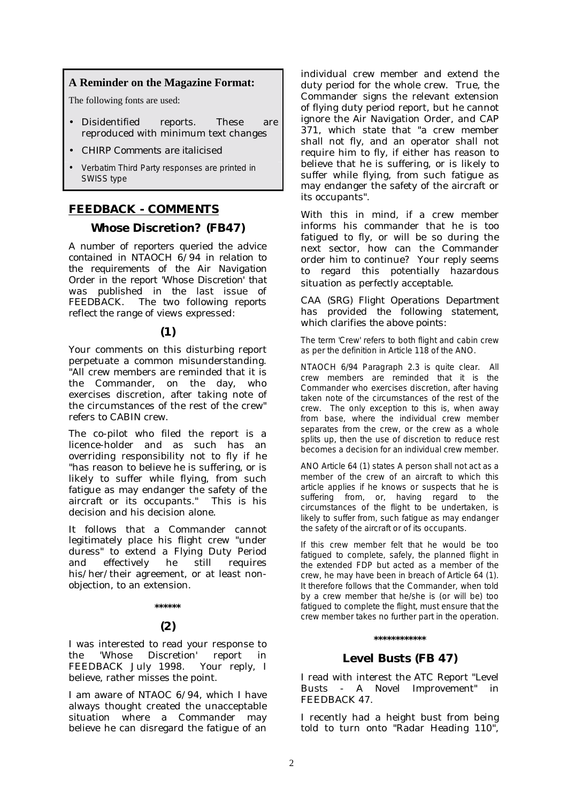#### **A Reminder on the Magazine Format:**

The following fonts are used:

- Disidentified reports. These are reproduced with minimum text changes
- *CHIRP Comments are italicised*
- Verbatim Third Party responses are printed in SWISS type

#### **FEEDBACK - COMMENTS**

#### **Whose Discretion? (FB47)**

*A number of reporters queried the advice contained in NTAOCH 6/94 in relation to the requirements of the Air Navigation Order in the report 'Whose Discretion' that was published in the last issue of Fhe two following reports reflect the range of views expressed:* 

#### **(1)**

Your comments on this disturbing report perpetuate a common misunderstanding. "All crew members are reminded that it is the Commander, on the day, who exercises discretion, after taking note of the circumstances of the rest of the crew" refers to CABIN crew.

The co-pilot who filed the report is a licence-holder and as such has an overriding responsibility not to fly if he "has reason to believe he is suffering, or is likely to suffer while flying, from such fatigue as may endanger the safety of the aircraft or its occupants." This is his decision and his decision alone.

It follows that a Commander cannot legitimately place his flight crew "under duress" to extend a Flying Duty Period and effectively he still requires his/her/their agreement, or at least nonobjection, to an extension.

#### **\*\*\*\*\*\***

#### **(2)**

I was interested to read your response to the 'Whose Discretion' report in FEEDBACK July 1998. Your reply, I believe, rather misses the point.

I am aware of NTAOC 6/94, which I have always thought created the unacceptable situation where a Commander may believe he can disregard the fatigue of an individual crew member and extend the duty period for the whole crew. True, the Commander signs the relevant extension of flying duty period report, but he cannot ignore the Air Navigation Order, and CAP 371, which state that "a crew member shall not fly, and an operator shall not require him to fly, if either has reason to believe that he is suffering, or is likely to suffer while flying, from such fatigue as may endanger the safety of the aircraft or its occupants".

With this in mind, if a crew member informs his commander that he is too fatigued to fly, or will be so during the next sector, how can the Commander order him to continue? Your reply seems to regard this potentially hazardous situation as perfectly acceptable.

*CAA (SRG) Flight Operations Department has provided the following statement, which clarifies the above points:* 

The term 'Crew' refers to both flight and cabin crew as per the definition in Article 118 of the ANO.

NTAOCH 6/94 Paragraph 2.3 is quite clear. All crew members are reminded that it is the Commander who exercises discretion, after having taken note of the circumstances of the rest of the crew. The only exception to this is, when away from base, where the individual crew member separates from the crew, or the crew as a whole splits up, then the use of discretion to reduce rest becomes a decision for an individual crew member.

ANO Article 64 (1) states A person shall not act as a member of the crew of an aircraft to which this article applies if he knows or suspects that he is suffering from, or, having regard to the circumstances of the flight to be undertaken, is likely to suffer from, such fatigue as may endanger the safety of the aircraft or of its occupants.

If this crew member felt that he would be too fatigued to complete, safely, the planned flight in the extended FDP but acted as a member of the crew, he may have been in breach of Article 64 (1). It therefore follows that the Commander, when told by a crew member that he/she is (or will be) too fatigued to complete the flight, must ensure that the crew member takes no further part in the operation.

#### **\*\*\*\*\*\*\*\*\*\*\*\***

#### **Level Busts (FB 47)**

I read with interest the ATC Report "Level Busts - A Novel Improvement" in FEEDBACK 47.

I recently had a height bust from being told to turn onto "Radar Heading 110",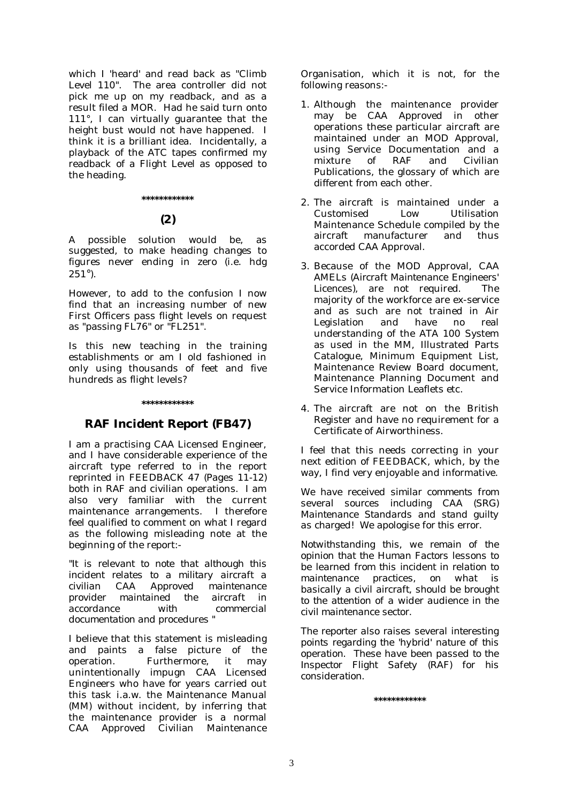which I 'heard' and read back as "Climb Level 110". The area controller did not pick me up on my readback, and as a result filed a MOR. Had he said turn onto 111°, I can virtually guarantee that the height bust would not have happened. I think it is a brilliant idea. Incidentally, a playback of the ATC tapes confirmed my readback of a Flight Level as opposed to the heading.

#### **\*\*\*\*\*\*\*\*\*\*\*\***

#### **(2)**

A possible solution would be, as suggested, to make heading changes to figures never ending in zero (i.e. hdg  $251^{\circ}$ ).

However, to add to the confusion I now find that an increasing number of new First Officers pass flight levels on request as "passing FL76" or "FL251".

Is this new teaching in the training establishments or am I old fashioned in only using thousands of feet and five hundreds as flight levels?

#### **\*\*\*\*\*\*\*\*\*\*\*\***

#### **RAF Incident Report (FB47)**

I am a practising CAA Licensed Engineer, and I have considerable experience of the aircraft type referred to in the report reprinted in FEEDBACK 47 *(Pages 11-12)* both in RAF and civilian operations. I am also very familiar with the current maintenance arrangements. I therefore feel qualified to comment on what I regard as the following misleading note at the beginning of the report:-

*"It is relevant to note that although this incident relates to a military aircraft a civilian CAA Approved maintenance provider maintained the aircraft in accordance with commercial documentation and procedures "* 

I believe that this statement is misleading and paints a false picture of the operation. Furthermore, it may unintentionally impugn CAA Licensed Engineers who have for years carried out this task i.a.w. the Maintenance Manual (MM) without incident, by inferring that the maintenance provider is a normal CAA Approved Civilian Maintenance

Organisation, which it is not, for the following reasons:-

- 1. Although the maintenance provider may be CAA Approved in other operations these particular aircraft are maintained under an MOD Approval, using Service Documentation and a mixture of RAF and Civilian Publications, the glossary of which are different from each other.
- 2. The aircraft is maintained under a Customised Low Utilisation Maintenance Schedule compiled by the aircraft manufacturer and thus accorded CAA Approval.
- 3. Because of the MOD Approval, CAA AMELs *(Aircraft Maintenance Engineers' Licences)*, are not required. The majority of the workforce are ex-service and as such are not trained in Air Legislation and have no real understanding of the ATA 100 System as used in the MM, Illustrated Parts Catalogue, Minimum Equipment List, Maintenance Review Board document, Maintenance Planning Document and Service Information Leaflets etc.
- 4. The aircraft are not on the British Register and have no requirement for a Certificate of Airworthiness.

I feel that this needs correcting in your next edition of FEEDBACK, which, by the way, I find very enjoyable and informative.

*We have received similar comments from several sources including CAA (SRG) Maintenance Standards and stand guilty as charged! We apologise for this error.* 

*Notwithstanding this, we remain of the opinion that the Human Factors lessons to be learned from this incident in relation to maintenance practices, on what is basically a civil aircraft, should be brought to the attention of a wider audience in the civil maintenance sector.* 

*The reporter also raises several interesting points regarding the 'hybrid' nature of this operation. These have been passed to the Inspector Flight Safety (RAF) for his consideration.* 

**\*\*\*\*\*\*\*\*\*\*\*\***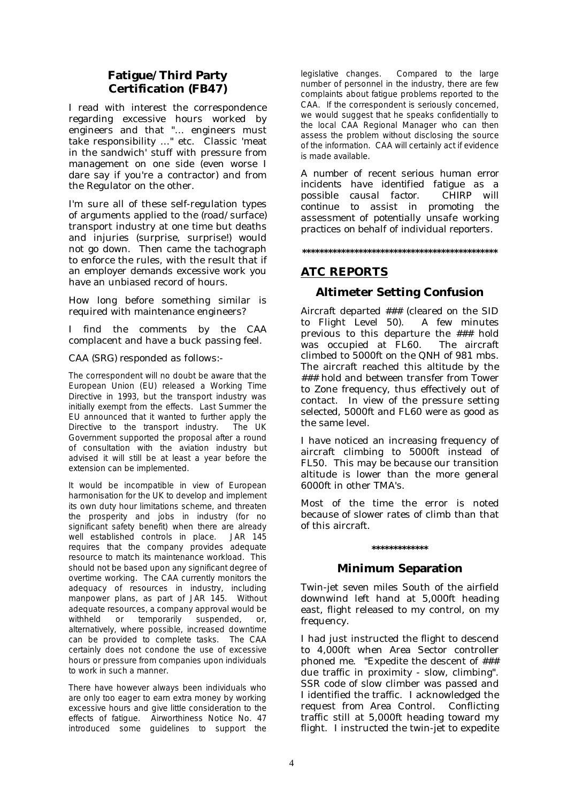#### **Fatigue/Third Party Certification (FB47)**

I read with interest the correspondence regarding excessive hours worked by engineers and that "… engineers must take responsibility …" etc. Classic 'meat in the sandwich' stuff with pressure from management on one side (even worse I dare say if you're a contractor) and from the Regulator on the other.

I'm sure all of these self-regulation types of arguments applied to the *(road/surface)* transport industry at one time but deaths and injuries (surprise, surprise!) would not go down. Then came the tachograph to enforce the rules, with the result that if an employer demands excessive work you have an unbiased record of hours.

How long before something similar is required with maintenance engineers?

I find the comments by the CAA complacent and have a buck passing feel.

#### *CAA (SRG) responded as follows:-*

The correspondent will no doubt be aware that the European Union (EU) released a Working Time Directive in 1993, but the transport industry was initially exempt from the effects. Last Summer the EU announced that it wanted to further apply the Directive to the transport industry. The UK Government supported the proposal after a round of consultation with the aviation industry but advised it will still be at least a year before the extension can be implemented.

It would be incompatible in view of European harmonisation for the UK to develop and implement its own duty hour limitations scheme, and threaten the prosperity and jobs in industry (for no significant safety benefit) when there are already well established controls in place. JAR 145 requires that the company provides adequate resource to match its maintenance workload. This should not be based upon any significant degree of overtime working. The CAA currently monitors the adequacy of resources in industry, including manpower plans, as part of JAR 145. Without adequate resources, a company approval would be withheld or temporarily suspended, or, alternatively, where possible, increased downtime can be provided to complete tasks. The CAA certainly does not condone the use of excessive hours or pressure from companies upon individuals to work in such a manner.

There have however always been individuals who are only too eager to earn extra money by working excessive hours and give little consideration to the effects of fatigue. Airworthiness Notice No. 47 introduced some guidelines to support the

legislative changes. Compared to the large number of personnel in the industry, there are few complaints about fatigue problems reported to the CAA. If the correspondent is seriously concerned, we would suggest that he speaks confidentially to the local CAA Regional Manager who can then assess the problem without disclosing the source of the information. CAA will certainly act if evidence is made available*.* 

*A number of recent serious human error incidents have identified fatigue as a possible causal factor. CHIRP will continue to assist in promoting the assessment of potentially unsafe working practices on behalf of individual reporters.* 

**\*\*\*\*\*\*\*\*\*\*\*\*\*\*\*\*\*\*\*\*\*\*\*\*\*\*\*\*\*\*\*\*\*\*\*\*\*\*\*\*\*\*\*\*\*** 

### **ATC REPORTS**

#### **Altimeter Setting Confusion**

Aircraft departed ### (cleared on the SID to Flight Level 50). A few minutes previous to this departure the ### hold was occupied at FL60. The aircraft climbed to 5000ft on the QNH of 981 mbs. The aircraft reached this altitude by the ### hold and between transfer from Tower to Zone frequency, thus effectively out of contact. In view of the pressure setting selected, 5000ft and FL60 were as good as the same level.

I have noticed an increasing frequency of aircraft climbing to 5000ft instead of FL50. This may be because our transition altitude is lower than the more general 6000ft in other TMA's.

Most of the time the error is noted because of slower rates of climb than that of this aircraft.

# **\*\*\*\*\*\*\*\*\*\*\*\*\***

#### **Minimum Separation**

Twin-jet seven miles South of the airfield downwind left hand at 5,000ft heading east, flight released to my control, on my frequency.

I had just instructed the flight to descend to 4,000ft when Area Sector controller phoned me. "Expedite the descent of ### due traffic in proximity - slow, climbing". SSR code of slow climber was passed and I identified the traffic. I acknowledged the request from Area Control. Conflicting traffic still at 5,000ft heading toward my flight. I instructed the twin-jet to expedite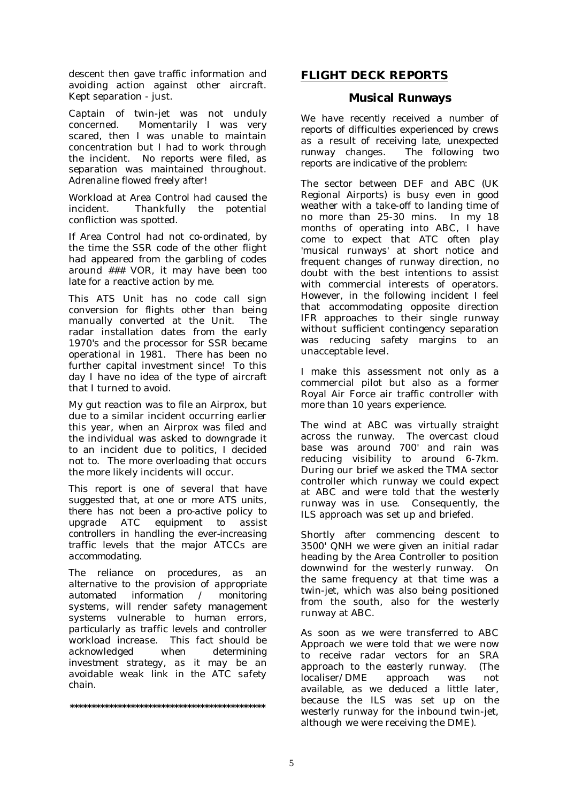descent then gave traffic information and avoiding action against other aircraft. Kept separation - just.

Captain of twin-jet was not unduly concerned. Momentarily I was very scared, then I was unable to maintain concentration but I had to work through the incident. No reports were filed, as separation was maintained throughout. Adrenaline flowed freely after!

Workload at Area Control had caused the incident. Thankfully the potential confliction was spotted.

If Area Control had not co-ordinated, by the time the SSR code of the other flight had appeared from the garbling of codes around ### VOR, it may have been too late for a reactive action by me.

This ATS Unit has no code call sign conversion for flights other than being manually converted at the Unit. The radar installation dates from the early 1970's and the processor for SSR became operational in 1981. There has been no further capital investment since! To this day I have no idea of the type of aircraft that I turned to avoid.

My gut reaction was to file an Airprox, but due to a similar incident occurring earlier this year, when an Airprox was filed and the individual was asked to downgrade it to an incident due to politics, I decided not to. The more overloading that occurs the more likely incidents will occur.

*This report is one of several that have suggested that, at one or more ATS units, there has not been a pro-active policy to upgrade ATC equipment to assist controllers in handling the ever-increasing traffic levels that the major ATCCs are accommodating.* 

*The reliance on procedures, as an alternative to the provision of appropriate automated information / monitoring systems, will render safety management systems vulnerable to human errors, particularly as traffic levels and controller workload increase. This fact should be acknowledged when determining investment strategy, as it may be an avoidable weak link in the ATC safety chain.* 

**\*\*\*\*\*\*\*\*\*\*\*\*\*\*\*\*\*\*\*\*\*\*\*\*\*\*\*\*\*\*\*\*\*\*\*\*\*\*\*\*\*\*\*\*\*** 

#### **FLIGHT DECK REPORTS**

#### **Musical Runways**

*We have recently received a number of reports of difficulties experienced by crews as a result of receiving late, unexpected runway changes. The following two reports are indicative of the problem:* 

The sector between DEF and ABC (UK Regional Airports) is busy even in good weather with a take-off to landing time of no more than 25-30 mins. In my 18 months of operating into ABC, I have come to expect that ATC often play 'musical runways' at short notice and frequent changes of runway direction, no doubt with the best intentions to assist with commercial interests of operators. However, in the following incident I feel that accommodating opposite direction IFR approaches to their single runway without sufficient contingency separation was reducing safety margins to an unacceptable level.

I make this assessment not only as a commercial pilot but also as a former Royal Air Force air traffic controller with more than 10 years experience.

The wind at ABC was virtually straight across the runway. The overcast cloud base was around 700' and rain was reducing visibility to around 6-7km. During our brief we asked the TMA sector controller which runway we could expect at ABC and were told that the westerly runway was in use. Consequently, the ILS approach was set up and briefed.

Shortly after commencing descent to 3500' QNH we were given an initial radar heading by the Area Controller to position downwind for the westerly runway. On the same frequency at that time was a twin-jet, which was also being positioned from the south, also for the westerly runway at ABC.

As soon as we were transferred to ABC Approach we were told that we were now to receive radar vectors for an SRA approach to the easterly runway. (The localiser/DME approach was not available, as we deduced a little later, because the ILS was set up on the westerly runway for the inbound twin-jet, although we were receiving the DME).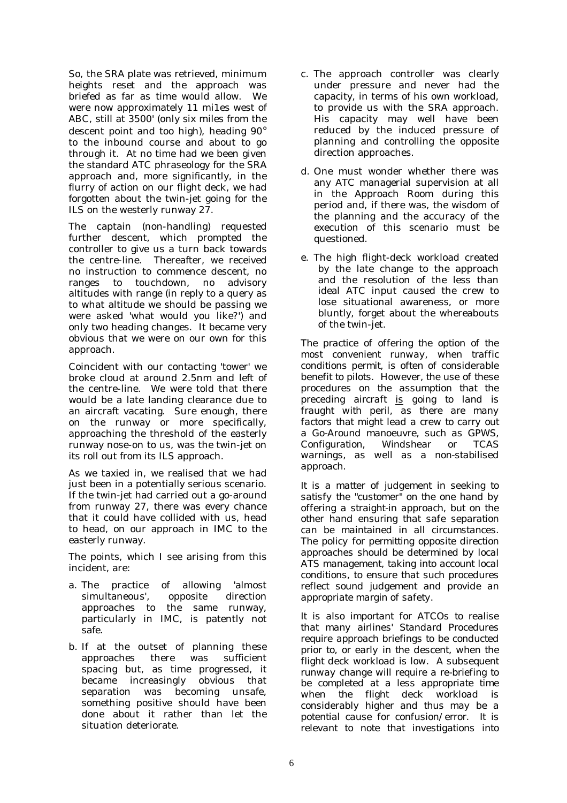So, the SRA plate was retrieved, minimum heights reset and the approach was briefed as far as time would allow. We were now approximately 11 mi1es west of ABC, still at 3500' (only six miles from the descent point and too high), heading 90° to the inbound course and about to go through it. At no time had we been given the standard ATC phraseology for the SRA approach and, more significantly, in the flurry of action on our flight deck, we had forgotten about the twin-jet going for the ILS on the westerly runway 27.

The captain (non-handling) requested further descent, which prompted the controller to give us a turn back towards the centre-line. Thereafter, we received no instruction to commence descent, no ranges to touchdown, no advisory altitudes with range (in reply to a query as to what altitude we should be passing we were asked 'what would you like?') and only two heading changes. It became very obvious that we were on our own for this approach.

Coincident with our contacting 'tower' we broke cloud at around 2.5nm and left of the centre-line. We were told that there would be a late landing clearance due to an aircraft vacating. Sure enough, there on the runway or more specifically, approaching the threshold of the easterly runway nose-on to us, was the twin-jet on its roll out from its ILS approach.

As we taxied in, we realised that we had just been in a potentially serious scenario. If the twin-jet had carried out a go-around from runway 27, there was every chance that it could have collided with us, head to head, on our approach in IMC to the easterly runway.

The points, which I see arising from this incident, are:

- a. The practice of allowing 'almost simultaneous', opposite direction approaches to the same runway, particularly in IMC, is patently not safe.
- b. If at the outset of planning these approaches there was sufficient spacing but, as time progressed, it became increasingly obvious that separation was becoming unsafe, something positive should have been done about it rather than let the situation deteriorate.
- c. The approach controller was clearly under pressure and never had the capacity, in terms of his own workload, to provide us with the SRA approach. His capacity may well have been reduced by the induced pressure of planning and controlling the opposite direction approaches.
- d. One must wonder whether there was any ATC managerial supervision at all in the Approach Room during this period and, if there was, the wisdom of the planning and the accuracy of the execution of this scenario must be questioned.
- e. The high flight-deck workload created by the late change to the approach and the resolution of the less than ideal ATC input caused the crew to lose situational awareness, or more bluntly, forget about the whereabouts of the twin-jet.

*The practice of offering the option of the most convenient runway, when traffic conditions permit, is often of considerable benefit to pilots. However, the use of these procedures on the assumption that the preceding aircraft is going to land is fraught with peril, as there are many factors that might lead a crew to carry out a Go-Around manoeuvre, such as GPWS, Configuration, Windshear or TCAS warnings, as well as a non-stabilised approach.* 

*It is a matter of judgement in seeking to satisfy the "customer" on the one hand by offering a straight-in approach, but on the other hand ensuring that safe separation can be maintained in all circumstances. The policy for permitting opposite direction approaches should be determined by local ATS management, taking into account local conditions, to ensure that such procedures reflect sound judgement and provide an appropriate margin of safety.* 

*It is also important for ATCOs to realise that many airlines' Standard Procedures require approach briefings to be conducted prior to, or early in the descent, when the flight deck workload is low. A subsequent runway change will require a re-briefing to be completed at a less appropriate time when the flight deck workload is considerably higher and thus may be a potential cause for confusion/error. It is relevant to note that investigations into*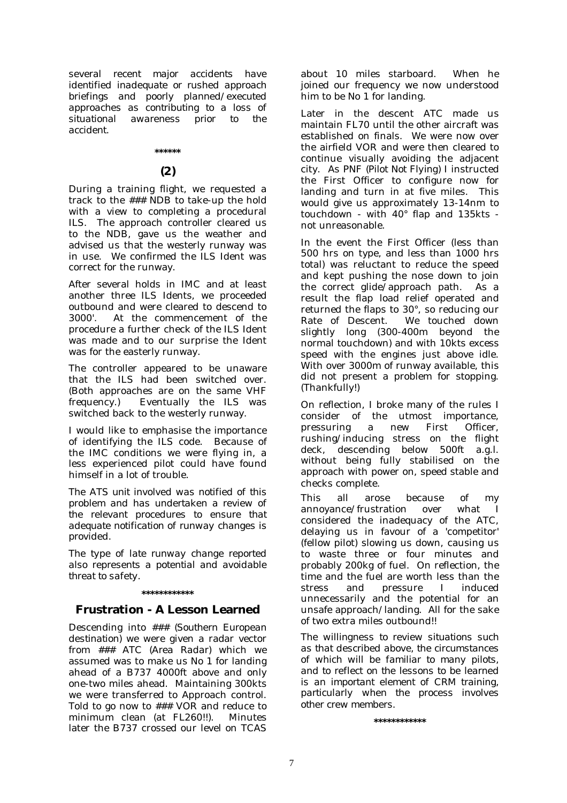*several recent major accidents have identified inadequate or rushed approach briefings and poorly planned/executed approaches as contributing to a loss of situational awareness prior to the accident.* 

#### **\*\*\*\*\*\***

#### **(2)**

During a training flight, we requested a track to the ### NDB to take-up the hold with a view to completing a procedural ILS. The approach controller cleared us to the NDB, gave us the weather and advised us that the westerly runway was in use. We confirmed the ILS Ident was correct for the runway.

After several holds in IMC and at least another three ILS Idents, we proceeded outbound and were cleared to descend to 3000'. At the commencement of the procedure a further check of the ILS Ident was made and to our surprise the Ident was for the easterly runway.

The controller appeared to be unaware that the ILS had been switched over. (Both approaches are on the same VHF frequency.) Eventually the ILS was switched back to the westerly runway.

I would like to emphasise the importance of identifying the ILS code. Because of the IMC conditions we were flying in, a less experienced pilot could have found himself in a lot of trouble.

*The ATS unit involved was notified of this problem and has undertaken a review of the relevant procedures to ensure that adequate notification of runway changes is provided.* 

*The type of late runway change reported also represents a potential and avoidable threat to safety.* 

#### **\*\*\*\*\*\*\*\*\*\*\*\***

#### **Frustration - A Lesson Learned**

Descending into *### (Southern European destination)* we were given a radar vector from ### ATC *(Area Radar*) which we assumed was to make us No 1 for landing ahead of a B737 4000ft above and only one-two miles ahead. Maintaining 300kts we were transferred to Approach control. Told to go now to ### VOR and reduce to minimum clean (at FL260!!). Minutes later the B737 crossed our level on TCAS

about 10 miles starboard. When he joined our frequency we now understood him to be No 1 for landing.

Later in the descent ATC made us maintain FL70 until the other aircraft was established on finals. We were now over the airfield VOR and were then cleared to continue visually avoiding the adjacent city. As PNF *(Pilot Not Flying)* I instructed the First Officer to configure now for landing and turn in at five miles. This would give us approximately 13-14nm to touchdown - with 40° flap and 135kts not unreasonable.

In the event the First Officer (less than 500 hrs on type, and less than 1000 hrs total) was reluctant to reduce the speed and kept pushing the nose down to join the correct glide/approach path. As a result the flap load relief operated and returned the flaps to 30°, so reducing our Rate of Descent. slightly long (300-400m beyond the normal touchdown) and with 10kts excess speed with the engines just above idle. With over 3000m of runway available, this did not present a problem for stopping. (Thankfully!)

On reflection, I broke many of the rules I consider of the utmost importance, pressuring a new First Officer, rushing/inducing stress on the flight deck, descending below 500ft a.g.l. without being fully stabilised on the approach with power on, speed stable and checks complete.

This all arose because of my<br>annovance/frustration over what I annoyance/frustration over what I considered the inadequacy of the ATC, delaying us in favour of a 'competitor' (fellow pilot) slowing us down, causing us to waste three or four minutes and probably 200kg of fuel. On reflection, the time and the fuel are worth less than the stress and pressure I induced unnecessarily and the potential for an unsafe approach/landing. All for the sake of two extra miles outbound!!

*The willingness to review situations such as that described above, the circumstances of which will be familiar to many pilots, and to reflect on the lessons to be learned is an important element of CRM training, particularly when the process involves other crew members.* 

**\*\*\*\*\*\*\*\*\*\*\*\***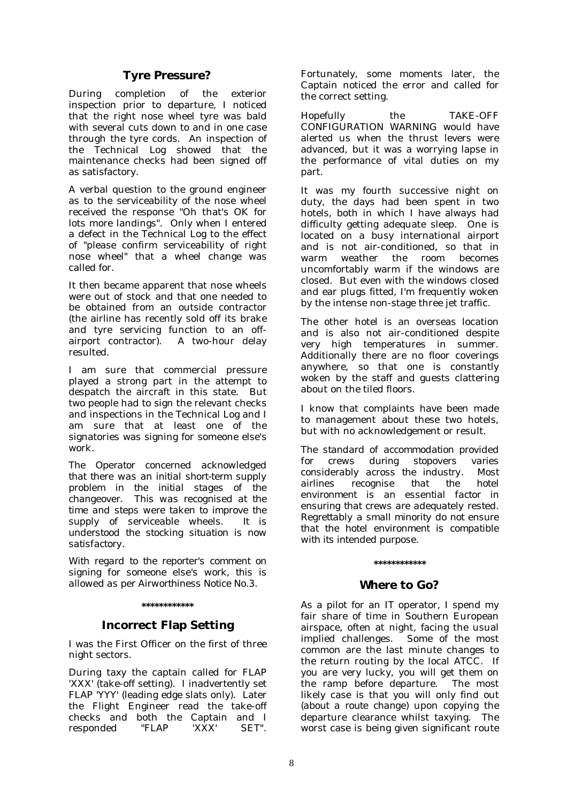#### **Tyre Pressure?**

During completion of the exterior inspection prior to departure, I noticed that the right nose wheel tyre was bald with several cuts down to and in one case through the tyre cords. An inspection of the Technical Log showed that the maintenance checks had been signed off as satisfactory.

A verbal question to the ground engineer as to the serviceability of the nose wheel received the response "Oh that's OK for lots more landings". Only when I entered a defect in the Technical Log to the effect of "please confirm serviceability of right nose wheel" that a wheel change was called for.

It then became apparent that nose wheels were out of stock and that one needed to be obtained from an outside contractor (the airline has recently sold off its brake and tyre servicing function to an offairport contractor). A two-hour delay resulted.

I am sure that commercial pressure played a strong part in the attempt to despatch the aircraft in this state. But two people had to sign the relevant checks and inspections in the Technical Log and I am sure that at least one of the signatories was signing for someone else's work

*The Operator concerned acknowledged that there was an initial short-term supply problem in the initial stages of the changeover. This was recognised at the time and steps were taken to improve the supply of serviceable wheels. It is understood the stocking situation is now satisfactory.* 

*With regard to the reporter's comment on signing for someone else's work, this is allowed as per Airworthiness Notice No.3.* 

#### **\*\*\*\*\*\*\*\*\*\*\*\***

#### **Incorrect Flap Setting**

I was the First Officer on the first of three night sectors.

During taxy the captain called for FLAP 'XXX' (take-off setting). I inadvertently set FLAP 'YYY' (leading edge slats only). Later the Flight Engineer read the take-off checks and both the Captain and I responded "FLAP 'XXX' SET".

Fortunately, some moments later, the Captain noticed the error and called for the correct setting.

Hopefully the TAKE-OFF CONFIGURATION WARNING would have alerted us when the thrust levers were advanced, but it was a worrying lapse in the performance of vital duties on my part.

It was my fourth successive night on duty, the days had been spent in two hotels, both in which I have always had difficulty getting adequate sleep. One is located on a busy international airport and is not air-conditioned, so that in warm weather the room becomes uncomfortably warm if the windows are closed. But even with the windows closed and ear plugs fitted, I'm frequently woken by the intense non-stage three jet traffic.

The other hotel is an overseas location and is also not air-conditioned despite very high temperatures in summer. Additionally there are no floor coverings anywhere, so that one is constantly woken by the staff and guests clattering about on the tiled floors.

I know that complaints have been made to management about these two hotels, but with no acknowledgement or result.

*The standard of accommodation provided for crews during stopovers varies considerably across the industry. Most airlines recognise that the hotel environment is an essential factor in ensuring that crews are adequately rested. Regrettably a small minority do not ensure that the hotel environment is compatible with its intended purpose.* 

## **\*\*\*\*\*\*\*\*\*\*\*\***

#### **Where to Go?**

As a pilot for an IT operator, I spend my fair share of time in Southern European airspace, often at night, facing the usual implied challenges. Some of the most common are the last minute changes to the return routing by the local ATCC. If you are very lucky, you will get them on the ramp before departure. The most likely case is that you will only find out *(about a route change)* upon copying the departure clearance whilst taxying. The worst case is being given significant route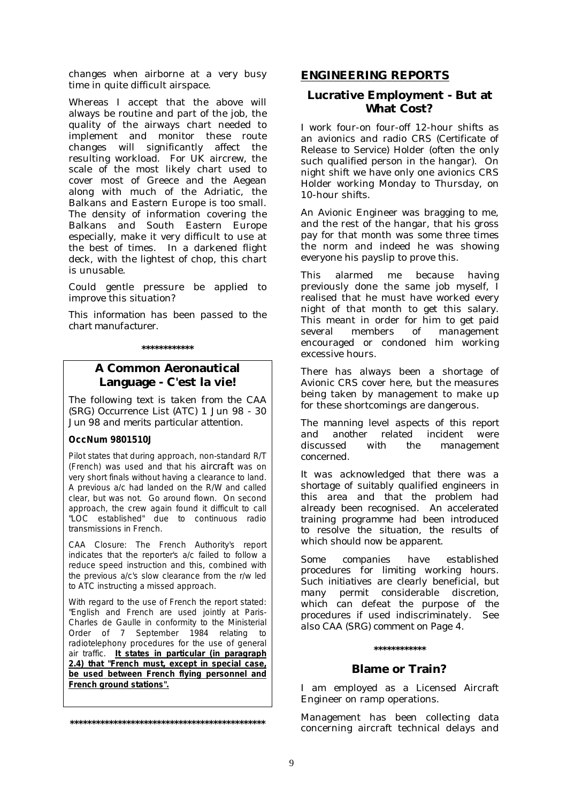changes when airborne at a very busy time in quite difficult airspace.

Whereas I accept that the above will always be routine and part of the job, the quality of the airways chart needed to implement and monitor these route changes will significantly affect the resulting workload. For UK aircrew, the scale of the most likely chart used to cover most of Greece and the Aegean along with much of the Adriatic, the Balkans and Eastern Europe is too small. The density of information covering the Balkans and South Eastern Europe especially, make it very difficult to use at the best of times. In a darkened flight deck, with the lightest of chop, this chart is unusable.

Could gentle pressure be applied to improve this situation?

*This information has been passed to the chart manufacturer.* 

**\*\*\*\*\*\*\*\*\*\*\*\*** 

#### **A Common Aeronautical Language - C'est la vie!**

*The following text is taken from the CAA (SRG) Occurrence List (ATC) 1 Jun 98 - 30 Jun 98 and merits particular attention.* 

#### **OccNum 9801510J**

Pilot states that during approach, non-standard R/T (French) was used and that his *aircraft* was on very short finals without having a clearance to land. A previous a/c had landed on the R/W and called clear, but was not. Go around flown. On second approach, the crew again found it difficult to call "LOC established" due to continuous radio transmissions in French.

CAA Closure: The French Authority's report indicates that the reporter's a/c failed to follow a reduce speed instruction and this, combined with the previous a/c's slow clearance from the r/w led to ATC instructing a missed approach.

With regard to the use of French the report stated: "English and French are used jointly at Paris-Charles de Gaulle in conformity to the Ministerial Order of 7 September 1984 relating to radiotelephony procedures for the use of general air traffic. **It states in particular (in paragraph 2.4) that "French must, except in special case, be used between French flying personnel and French ground stations".**

**\*\*\*\*\*\*\*\*\*\*\*\*\*\*\*\*\*\*\*\*\*\*\*\*\*\*\*\*\*\*\*\*\*\*\*\*\*\*\*\*\*\*\*\*\*** 

#### **ENGINEERING REPORTS**

#### **Lucrative Employment - But at What Cost?**

I work four-on four-off 12-hour shifts as an avionics and radio CRS *(Certificate of Release to Service)* Holder (often the only such qualified person in the hangar). On night shift we have only one avionics CRS Holder working Monday to Thursday, on 10-hour shifts.

An Avionic Engineer was bragging to me, and the rest of the hangar, that his gross pay for that month was some three times the norm and indeed he was showing everyone his payslip to prove this.

This alarmed me because having previously done the same job myself, I realised that he must have worked every night of that month to get this salary. This meant in order for him to get paid several members of management encouraged or condoned him working excessive hours.

There has always been a shortage of Avionic CRS cover here, but the measures being taken by management to make up for these shortcomings are dangerous.

*The manning level aspects of this report and another related incident were discussed with the management concerned.* 

*It was acknowledged that there was a shortage of suitably qualified engineers in this area and that the problem had already been recognised. An accelerated training programme had been introduced to resolve the situation, the results of which should now be apparent.* 

*Some companies have established procedures for limiting working hours. Such initiatives are clearly beneficial, but many permit considerable discretion, which can defeat the purpose of the procedures if used indiscriminately. See also CAA (SRG) comment on Page 4.* 

#### **\*\*\*\*\*\*\*\*\*\*\*\***

#### **Blame or Train?**

I am employed as a Licensed Aircraft Engineer on ramp operations.

Management has been collecting data concerning aircraft technical delays and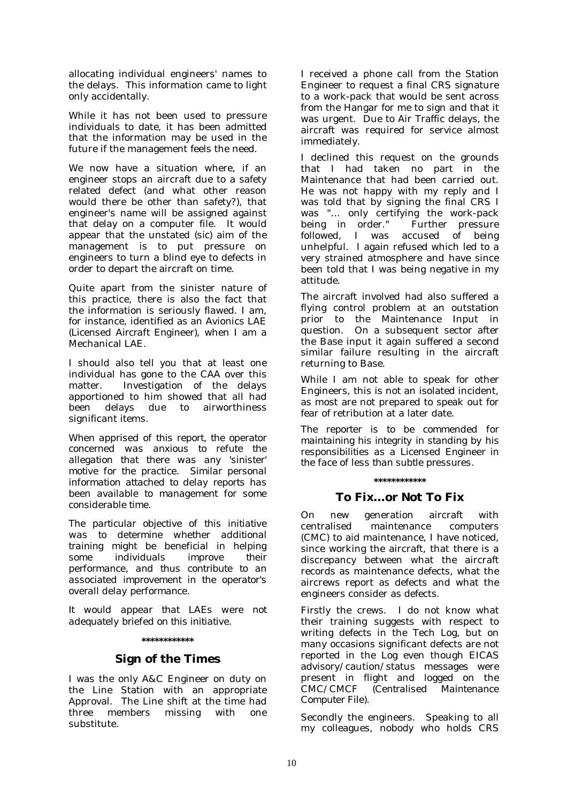allocating individual engineers' names to the delays. This information came to light only accidentally.

While it has not been used to pressure individuals to date, it has been admitted that the information may be used in the future if the management feels the need.

We now have a situation where, if an engineer stops an aircraft due to a safety related defect (and what other reason would there be other than safety?), that engineer's name will be assigned against that delay on a computer file. It would appear that the unstated *(sic)* aim of the management is to put pressure on engineers to turn a blind eye to defects in order to depart the aircraft on time.

Quite apart from the sinister nature of this practice, there is also the fact that the information is seriously flawed. I am, for instance, identified as an Avionics LAE *(Licensed Aircraft Engineer)*, when I am a Mechanical LAE.

I should also tell you that at least one individual has gone to the CAA over this matter. Investigation of the delays apportioned to him showed that all had been delays due to airworthiness significant items.

*When apprised of this report, the operator concerned was anxious to refute the allegation that there was any 'sinister' motive for the practice. Similar personal information attached to delay reports has been available to management for some considerable time.* 

*The particular objective of this initiative was to determine whether additional training might be beneficial in helping some individuals improve their performance, and thus contribute to an associated improvement in the operator's overall delay performance.* 

*It would appear that LAEs were not adequately briefed on this initiative.* 

#### **\*\*\*\*\*\*\*\*\*\*\*\***

#### **Sign of the Times**

I was the only A&C Engineer on duty on the Line Station with an appropriate Approval. The Line shift at the time had three members missing with one substitute.

I received a phone call from the Station Engineer to request a final CRS signature to a work-pack that would be sent across from the Hangar for me to sign and that it was urgent. Due to Air Traffic delays, the aircraft was required for service almost immediately.

I declined this request on the grounds that I had taken no part in the Maintenance that had been carried out. He was not happy with my reply and I was told that by signing the final CRS I was "… only certifying the work-pack being in order." Further pressure followed, I was accused of being unhelpful. I again refused which led to a very strained atmosphere and have since been told that I was being negative in my attitude.

The aircraft involved had also suffered a flying control problem at an outstation prior to the Maintenance Input in question. On a subsequent sector after the Base input it again suffered a second similar failure resulting in the aircraft returning to Base.

While I am not able to speak for other Engineers, this is not an isolated incident, as most are not prepared to speak out for fear of retribution at a later date.

*The reporter is to be commended for maintaining his integrity in standing by his responsibilities as a Licensed Engineer in the face of less than subtle pressures.* 

#### **\*\*\*\*\*\*\*\*\*\*\*\***

#### **To Fix…or Not To Fix**

On new generation aircraft with centralised maintenance computers (CMC) to aid maintenance, I have noticed, since working the aircraft, that there is a discrepancy between what the aircraft records as maintenance defects, what the aircrews report as defects and what the engineers consider as defects.

Firstly the crews. I do not know what their training suggests with respect to writing defects in the Tech Log, but on many occasions significant defects are not reported in the Log even though EICAS advisory/caution/status messages were present in flight and logged on the CMC/CMCF *(Centralised Maintenance Computer File)*.

Secondly the engineers. Speaking to all my colleagues, nobody who holds CRS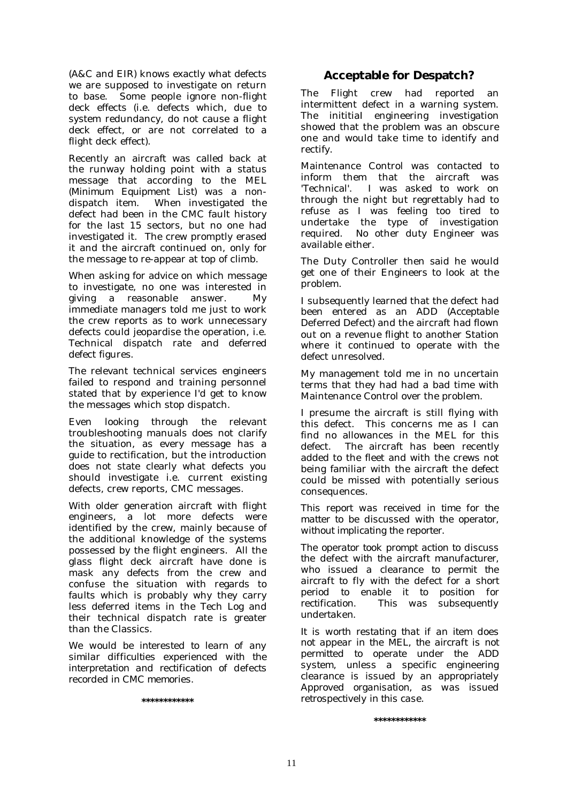(A&C and EIR) knows exactly what defects we are supposed to investigate on return to base. Some people ignore non-flight deck effects (i.e. defects which, due to system redundancy, do not cause a flight deck effect, or are not correlated to a flight deck effect).

Recently an aircraft was called back at the runway holding point with a status message that according to the MEL *(Minimum Equipment List)* was a nondispatch item. When investigated the defect had been in the CMC fault history for the last 15 sectors, but no one had investigated it. The crew promptly erased it and the aircraft continued on, only for the message to re-appear at top of climb.

When asking for advice on which message to investigate, no one was interested in giving a reasonable answer. My immediate managers told me just to work the crew reports as to work unnecessary defects could jeopardise the operation, i.e. Technical dispatch rate and deferred defect figures.

The relevant technical services engineers failed to respond and training personnel stated that by experience I'd get to know the messages which stop dispatch.

Even looking through the relevant troubleshooting manuals does not clarify the situation, as every message has a guide to rectification, but the introduction does not state clearly what defects you should investigate i.e. current existing defects, crew reports, CMC messages.

With older generation aircraft with flight engineers, a lot more defects were identified by the crew, mainly because of the additional knowledge of the systems possessed by the flight engineers. All the glass flight deck aircraft have done is mask any defects from the crew and confuse the situation with regards to faults which is probably why they carry less deferred items in the Tech Log and their technical dispatch rate is greater than the Classics.

*We would be interested to learn of any similar difficulties experienced with the interpretation and rectification of defects recorded in CMC memories.* 

**\*\*\*\*\*\*\*\*\*\*\*\*** 

#### **Acceptable for Despatch?**

The Flight crew had reported an intermittent defect in a warning system. The inititiaI engineering investigation showed that the problem was an obscure one and would take time to identify and rectify.

Maintenance Control was contacted to inform them that the aircraft was 'Technical'. I was asked to work on through the night but regrettably had to refuse as I was feeling too tired to undertake the type of investigation required. No other duty Engineer was available either.

The Duty Controller then said he would get one of their Engineers to look at the problem.

I subsequently learned that the defect had been entered as an ADD *(Acceptable Deferred Defect)* and the aircraft had flown out on a revenue flight to another Station where it continued to operate with the defect unresolved.

My management told me in no uncertain terms that they had had a bad time with Maintenance Control over the problem.

I presume the aircraft is still flying with this defect. This concerns me as I can find no allowances in the MEL for this defect. The aircraft has been recently added to the fleet and with the crews not being familiar with the aircraft the defect could be missed with potentially serious consequences.

*This report was received in time for the matter to be discussed with the operator, without implicating the reporter.* 

*The operator took prompt action to discuss the defect with the aircraft manufacturer, who issued a clearance to permit the aircraft to fly with the defect for a short period to enable it to position for rectification. This was subsequently undertaken.* 

*It is worth restating that if an item does not appear in the MEL, the aircraft is not permitted to operate under the ADD system, unless a specific engineering clearance is issued by an appropriately Approved organisation, as was issued retrospectively in this case.* 

**\*\*\*\*\*\*\*\*\*\*\*\***